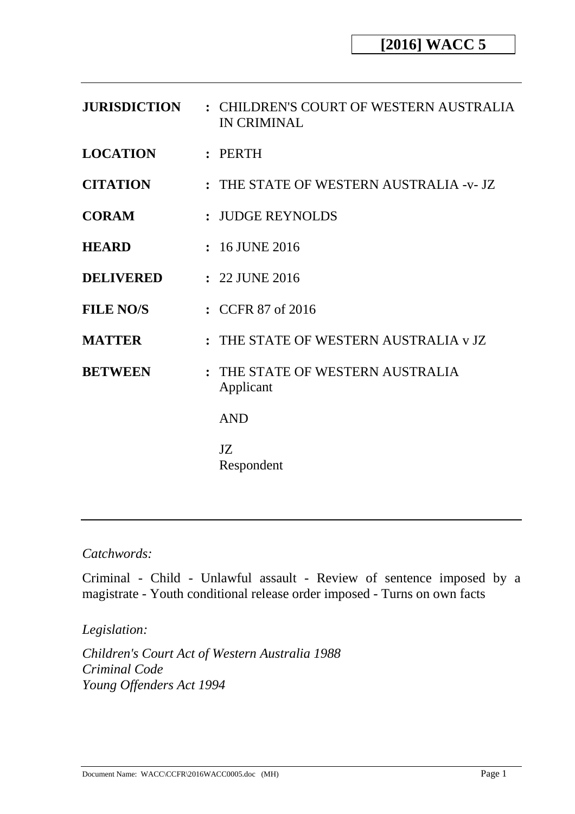| <b>JURISDICTION</b> | : CHILDREN'S COURT OF WESTERN AUSTRALIA<br><b>IN CRIMINAL</b> |
|---------------------|---------------------------------------------------------------|
| <b>LOCATION</b>     | :                                                             |
| <b>CITATION</b>     | : THE STATE OF WESTERN AUSTRALIA -v- JZ                       |
| <b>CORAM</b>        | : JUDGE REYNOLDS                                              |
| <b>HEARD</b>        | $: 16$ JUNE 2016                                              |
| <b>DELIVERED</b>    | : 22 JUNE 2016                                                |
| <b>FILE NO/S</b>    | : CCFR 87 of 2016                                             |
| <b>MATTER</b>       | : THE STATE OF WESTERN AUSTRALIA v JZ                         |
| <b>BETWEEN</b>      | : THE STATE OF WESTERN AUSTRALIA<br>Applicant                 |
|                     | <b>AND</b>                                                    |
|                     | JZ<br>Respondent                                              |

### *Catchwords:*

Criminal - Child - Unlawful assault - Review of sentence imposed by a magistrate - Youth conditional release order imposed - Turns on own facts

*Legislation:* 

*Children's Court Act of Western Australia 1988 Criminal Code Young Offenders Act 1994*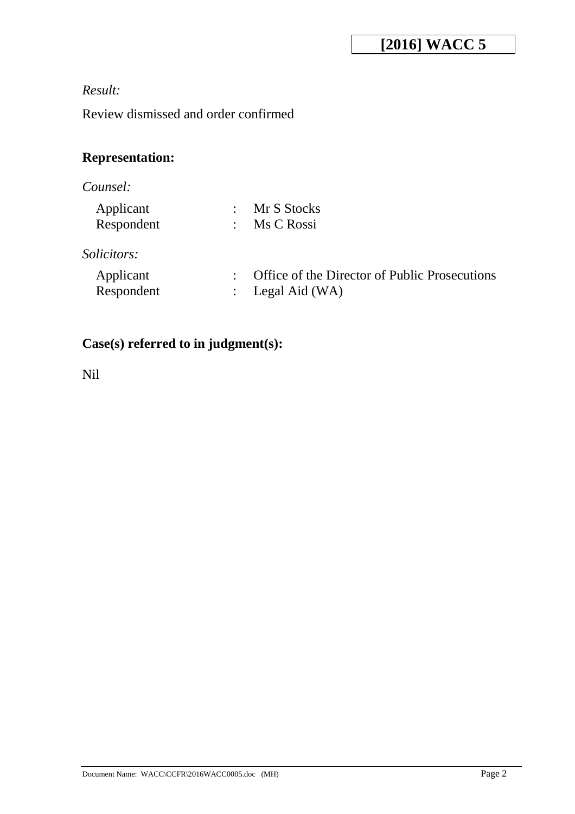# **[2016] WACC 5**

# *Result:*

Review dismissed and order confirmed

# **Representation:**

# *Counsel:*

| Applicant  | Mr S Stocks |
|------------|-------------|
| Respondent | Ms C Rossi  |

# *Solicitors:*

| Applicant  | : Office of the Director of Public Prosecutions |
|------------|-------------------------------------------------|
| Respondent | : Legal Aid (WA)                                |

# **Case(s) referred to in judgment(s):**

Nil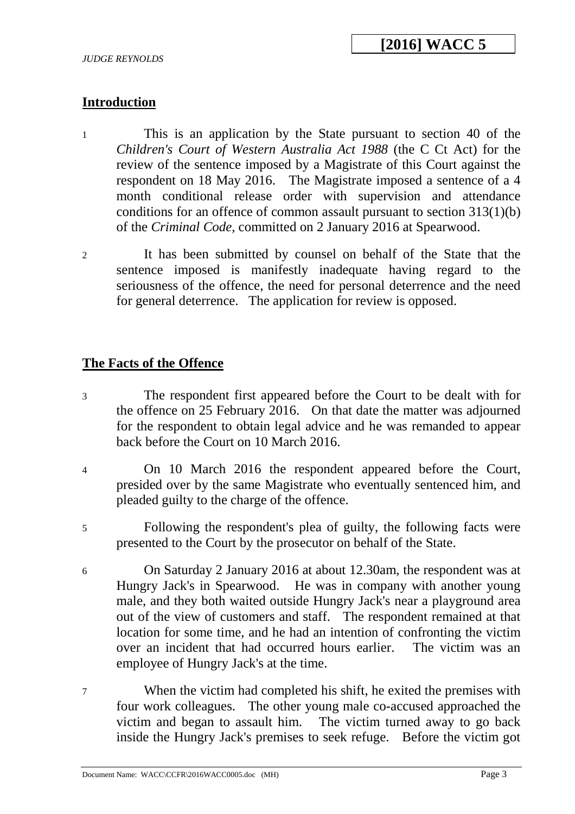## **Introduction**

- 1 This is an application by the State pursuant to section 40 of the *Children's Court of Western Australia Act 1988* (the C Ct Act) for the review of the sentence imposed by a Magistrate of this Court against the respondent on 18 May 2016. The Magistrate imposed a sentence of a 4 month conditional release order with supervision and attendance conditions for an offence of common assault pursuant to section 313(1)(b) of the *Criminal Code*, committed on 2 January 2016 at Spearwood.
- 2 It has been submitted by counsel on behalf of the State that the sentence imposed is manifestly inadequate having regard to the seriousness of the offence, the need for personal deterrence and the need for general deterrence. The application for review is opposed.

## **The Facts of the Offence**

- 3 The respondent first appeared before the Court to be dealt with for the offence on 25 February 2016. On that date the matter was adjourned for the respondent to obtain legal advice and he was remanded to appear back before the Court on 10 March 2016.
- 4 On 10 March 2016 the respondent appeared before the Court, presided over by the same Magistrate who eventually sentenced him, and pleaded guilty to the charge of the offence.
- 5 Following the respondent's plea of guilty, the following facts were presented to the Court by the prosecutor on behalf of the State.
- 6 On Saturday 2 January 2016 at about 12.30am, the respondent was at Hungry Jack's in Spearwood. He was in company with another young male, and they both waited outside Hungry Jack's near a playground area out of the view of customers and staff. The respondent remained at that location for some time, and he had an intention of confronting the victim over an incident that had occurred hours earlier. The victim was an employee of Hungry Jack's at the time.
- 7 When the victim had completed his shift, he exited the premises with four work colleagues. The other young male co-accused approached the victim and began to assault him. The victim turned away to go back inside the Hungry Jack's premises to seek refuge. Before the victim got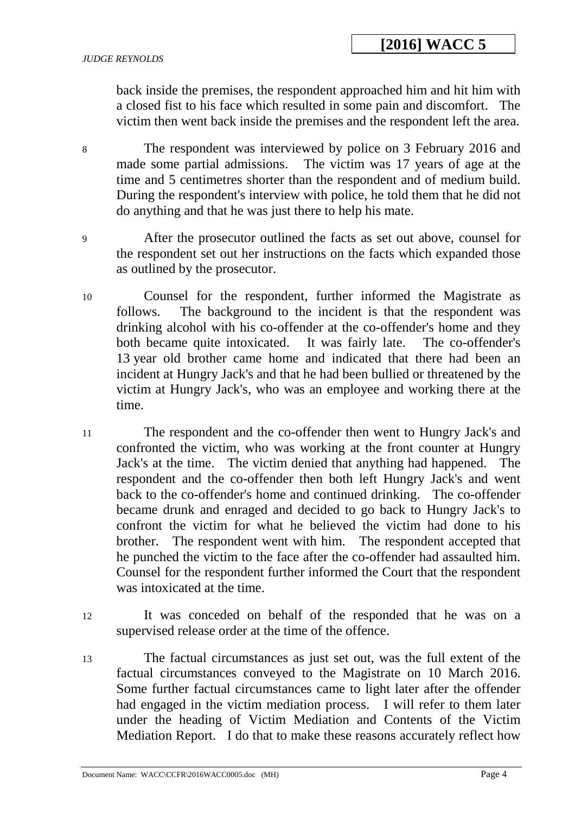back inside the premises, the respondent approached him and hit him with a closed fist to his face which resulted in some pain and discomfort. The victim then went back inside the premises and the respondent left the area.

- 8 The respondent was interviewed by police on 3 February 2016 and made some partial admissions. The victim was 17 years of age at the time and 5 centimetres shorter than the respondent and of medium build. During the respondent's interview with police, he told them that he did not do anything and that he was just there to help his mate.
- 9 After the prosecutor outlined the facts as set out above, counsel for the respondent set out her instructions on the facts which expanded those as outlined by the prosecutor.
- 10 Counsel for the respondent, further informed the Magistrate as follows. The background to the incident is that the respondent was drinking alcohol with his co-offender at the co-offender's home and they both became quite intoxicated. It was fairly late. The co-offender's 13 year old brother came home and indicated that there had been an incident at Hungry Jack's and that he had been bullied or threatened by the victim at Hungry Jack's, who was an employee and working there at the time.
- 11 The respondent and the co-offender then went to Hungry Jack's and confronted the victim, who was working at the front counter at Hungry Jack's at the time. The victim denied that anything had happened. The respondent and the co-offender then both left Hungry Jack's and went back to the co-offender's home and continued drinking. The co-offender became drunk and enraged and decided to go back to Hungry Jack's to confront the victim for what he believed the victim had done to his brother. The respondent went with him. The respondent accepted that he punched the victim to the face after the co-offender had assaulted him. Counsel for the respondent further informed the Court that the respondent was intoxicated at the time.
- 12 It was conceded on behalf of the responded that he was on a supervised release order at the time of the offence.
- 13 The factual circumstances as just set out, was the full extent of the factual circumstances conveyed to the Magistrate on 10 March 2016. Some further factual circumstances came to light later after the offender had engaged in the victim mediation process. I will refer to them later under the heading of Victim Mediation and Contents of the Victim Mediation Report. I do that to make these reasons accurately reflect how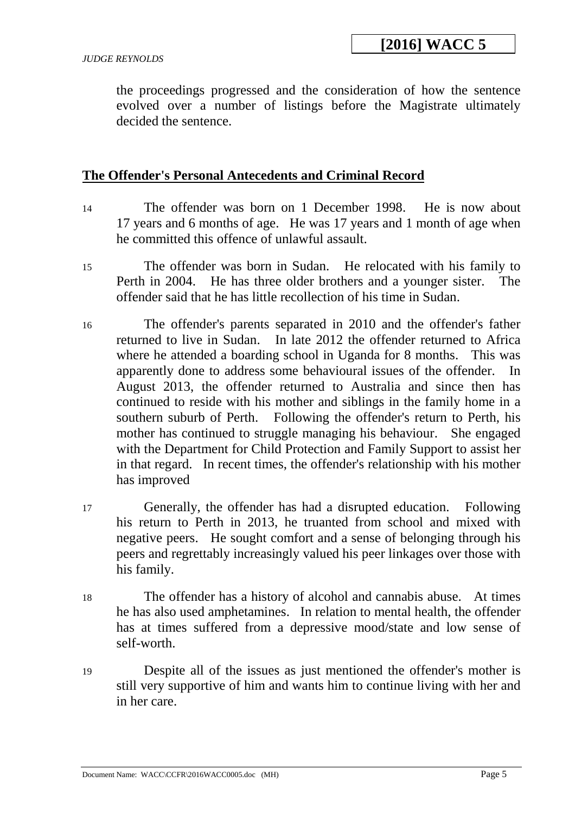the proceedings progressed and the consideration of how the sentence evolved over a number of listings before the Magistrate ultimately decided the sentence.

#### **The Offender's Personal Antecedents and Criminal Record**

- 14 The offender was born on 1 December 1998. He is now about 17 years and 6 months of age. He was 17 years and 1 month of age when he committed this offence of unlawful assault.
- 15 The offender was born in Sudan. He relocated with his family to Perth in 2004. He has three older brothers and a younger sister. The offender said that he has little recollection of his time in Sudan.
- 16 The offender's parents separated in 2010 and the offender's father returned to live in Sudan. In late 2012 the offender returned to Africa where he attended a boarding school in Uganda for 8 months. This was apparently done to address some behavioural issues of the offender. In August 2013, the offender returned to Australia and since then has continued to reside with his mother and siblings in the family home in a southern suburb of Perth. Following the offender's return to Perth, his mother has continued to struggle managing his behaviour. She engaged with the Department for Child Protection and Family Support to assist her in that regard. In recent times, the offender's relationship with his mother has improved
- 17 Generally, the offender has had a disrupted education. Following his return to Perth in 2013, he truanted from school and mixed with negative peers. He sought comfort and a sense of belonging through his peers and regrettably increasingly valued his peer linkages over those with his family.
- 18 The offender has a history of alcohol and cannabis abuse. At times he has also used amphetamines. In relation to mental health, the offender has at times suffered from a depressive mood/state and low sense of self-worth.
- 19 Despite all of the issues as just mentioned the offender's mother is still very supportive of him and wants him to continue living with her and in her care.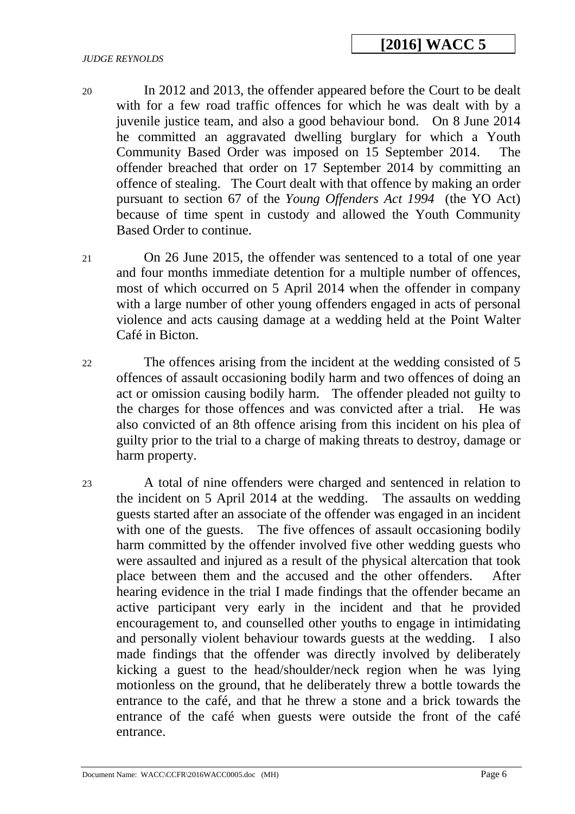- 20 In 2012 and 2013, the offender appeared before the Court to be dealt with for a few road traffic offences for which he was dealt with by a juvenile justice team, and also a good behaviour bond. On 8 June 2014 he committed an aggravated dwelling burglary for which a Youth Community Based Order was imposed on 15 September 2014. The offender breached that order on 17 September 2014 by committing an offence of stealing. The Court dealt with that offence by making an order pursuant to section 67 of the *Young Offenders Act 1994* (the YO Act) because of time spent in custody and allowed the Youth Community Based Order to continue.
- 21 On 26 June 2015, the offender was sentenced to a total of one year and four months immediate detention for a multiple number of offences, most of which occurred on 5 April 2014 when the offender in company with a large number of other young offenders engaged in acts of personal violence and acts causing damage at a wedding held at the Point Walter Café in Bicton.
- 22 The offences arising from the incident at the wedding consisted of 5 offences of assault occasioning bodily harm and two offences of doing an act or omission causing bodily harm. The offender pleaded not guilty to the charges for those offences and was convicted after a trial. He was also convicted of an 8th offence arising from this incident on his plea of guilty prior to the trial to a charge of making threats to destroy, damage or harm property.
- 23 A total of nine offenders were charged and sentenced in relation to the incident on 5 April 2014 at the wedding. The assaults on wedding guests started after an associate of the offender was engaged in an incident with one of the guests. The five offences of assault occasioning bodily harm committed by the offender involved five other wedding guests who were assaulted and injured as a result of the physical altercation that took place between them and the accused and the other offenders. After hearing evidence in the trial I made findings that the offender became an active participant very early in the incident and that he provided encouragement to, and counselled other youths to engage in intimidating and personally violent behaviour towards guests at the wedding. I also made findings that the offender was directly involved by deliberately kicking a guest to the head/shoulder/neck region when he was lying motionless on the ground, that he deliberately threw a bottle towards the entrance to the café, and that he threw a stone and a brick towards the entrance of the café when guests were outside the front of the café entrance.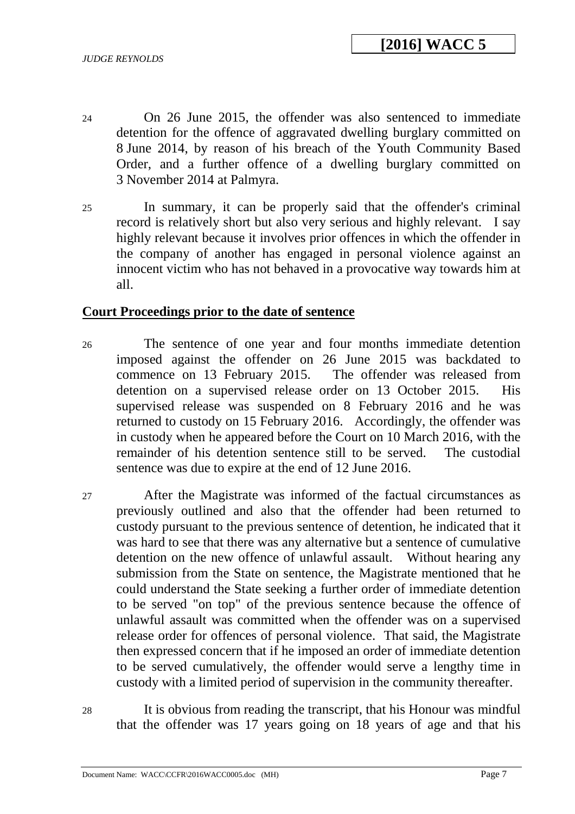- 24 On 26 June 2015, the offender was also sentenced to immediate detention for the offence of aggravated dwelling burglary committed on 8 June 2014, by reason of his breach of the Youth Community Based Order, and a further offence of a dwelling burglary committed on 3 November 2014 at Palmyra.
- 25 In summary, it can be properly said that the offender's criminal record is relatively short but also very serious and highly relevant. I say highly relevant because it involves prior offences in which the offender in the company of another has engaged in personal violence against an innocent victim who has not behaved in a provocative way towards him at all.

#### **Court Proceedings prior to the date of sentence**

- 26 The sentence of one year and four months immediate detention imposed against the offender on 26 June 2015 was backdated to commence on 13 February 2015. The offender was released from detention on a supervised release order on 13 October 2015. His supervised release was suspended on 8 February 2016 and he was returned to custody on 15 February 2016. Accordingly, the offender was in custody when he appeared before the Court on 10 March 2016, with the remainder of his detention sentence still to be served. The custodial sentence was due to expire at the end of 12 June 2016.
- 27 After the Magistrate was informed of the factual circumstances as previously outlined and also that the offender had been returned to custody pursuant to the previous sentence of detention, he indicated that it was hard to see that there was any alternative but a sentence of cumulative detention on the new offence of unlawful assault. Without hearing any submission from the State on sentence, the Magistrate mentioned that he could understand the State seeking a further order of immediate detention to be served "on top" of the previous sentence because the offence of unlawful assault was committed when the offender was on a supervised release order for offences of personal violence. That said, the Magistrate then expressed concern that if he imposed an order of immediate detention to be served cumulatively, the offender would serve a lengthy time in custody with a limited period of supervision in the community thereafter.
- 28 It is obvious from reading the transcript, that his Honour was mindful that the offender was 17 years going on 18 years of age and that his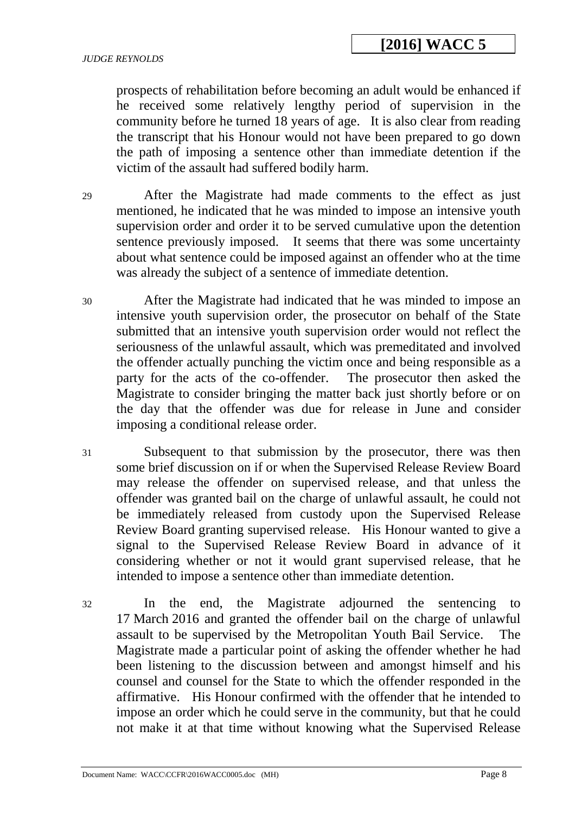prospects of rehabilitation before becoming an adult would be enhanced if he received some relatively lengthy period of supervision in the community before he turned 18 years of age. It is also clear from reading the transcript that his Honour would not have been prepared to go down the path of imposing a sentence other than immediate detention if the victim of the assault had suffered bodily harm.

29 After the Magistrate had made comments to the effect as just mentioned, he indicated that he was minded to impose an intensive youth supervision order and order it to be served cumulative upon the detention sentence previously imposed. It seems that there was some uncertainty about what sentence could be imposed against an offender who at the time was already the subject of a sentence of immediate detention.

- 30 After the Magistrate had indicated that he was minded to impose an intensive youth supervision order, the prosecutor on behalf of the State submitted that an intensive youth supervision order would not reflect the seriousness of the unlawful assault, which was premeditated and involved the offender actually punching the victim once and being responsible as a party for the acts of the co-offender. The prosecutor then asked the Magistrate to consider bringing the matter back just shortly before or on the day that the offender was due for release in June and consider imposing a conditional release order.
- 31 Subsequent to that submission by the prosecutor, there was then some brief discussion on if or when the Supervised Release Review Board may release the offender on supervised release, and that unless the offender was granted bail on the charge of unlawful assault, he could not be immediately released from custody upon the Supervised Release Review Board granting supervised release. His Honour wanted to give a signal to the Supervised Release Review Board in advance of it considering whether or not it would grant supervised release, that he intended to impose a sentence other than immediate detention.
- 32 In the end, the Magistrate adjourned the sentencing to 17 March 2016 and granted the offender bail on the charge of unlawful assault to be supervised by the Metropolitan Youth Bail Service. The Magistrate made a particular point of asking the offender whether he had been listening to the discussion between and amongst himself and his counsel and counsel for the State to which the offender responded in the affirmative. His Honour confirmed with the offender that he intended to impose an order which he could serve in the community, but that he could not make it at that time without knowing what the Supervised Release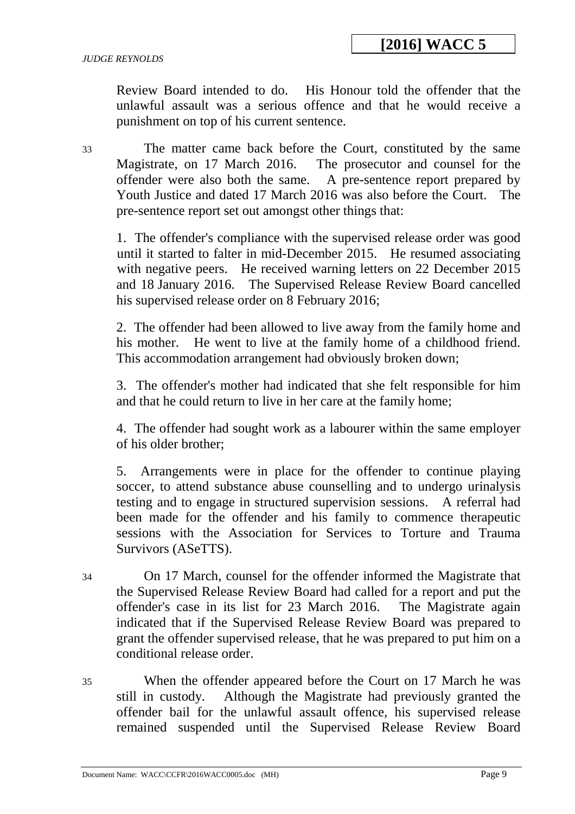Review Board intended to do. His Honour told the offender that the unlawful assault was a serious offence and that he would receive a punishment on top of his current sentence.

33 The matter came back before the Court, constituted by the same Magistrate, on 17 March 2016. The prosecutor and counsel for the offender were also both the same. A pre-sentence report prepared by Youth Justice and dated 17 March 2016 was also before the Court. The pre-sentence report set out amongst other things that:

1. The offender's compliance with the supervised release order was good until it started to falter in mid-December 2015. He resumed associating with negative peers. He received warning letters on 22 December 2015 and 18 January 2016. The Supervised Release Review Board cancelled his supervised release order on 8 February 2016;

2. The offender had been allowed to live away from the family home and his mother. He went to live at the family home of a childhood friend. This accommodation arrangement had obviously broken down;

3. The offender's mother had indicated that she felt responsible for him and that he could return to live in her care at the family home;

4. The offender had sought work as a labourer within the same employer of his older brother;

5. Arrangements were in place for the offender to continue playing soccer, to attend substance abuse counselling and to undergo urinalysis testing and to engage in structured supervision sessions. A referral had been made for the offender and his family to commence therapeutic sessions with the Association for Services to Torture and Trauma Survivors (ASeTTS).

- 34 On 17 March, counsel for the offender informed the Magistrate that the Supervised Release Review Board had called for a report and put the offender's case in its list for 23 March 2016. The Magistrate again indicated that if the Supervised Release Review Board was prepared to grant the offender supervised release, that he was prepared to put him on a conditional release order.
- 35 When the offender appeared before the Court on 17 March he was still in custody. Although the Magistrate had previously granted the offender bail for the unlawful assault offence, his supervised release remained suspended until the Supervised Release Review Board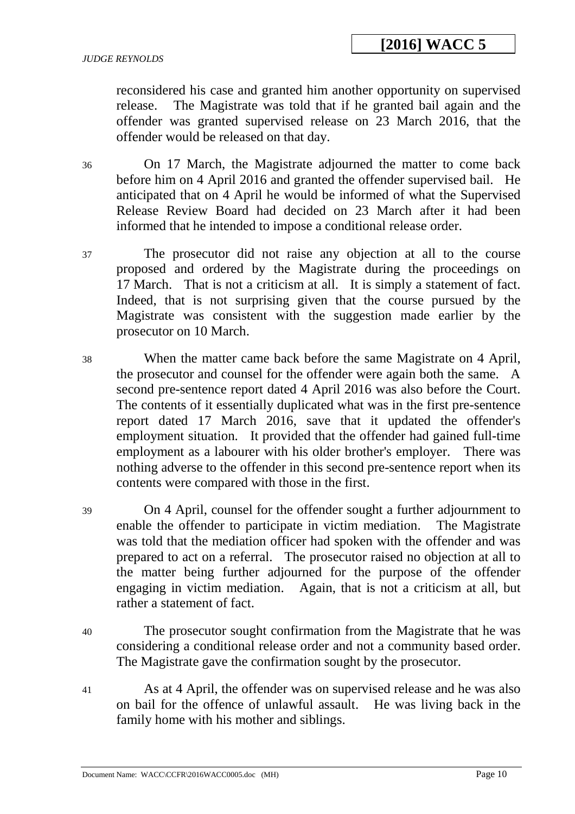reconsidered his case and granted him another opportunity on supervised release. The Magistrate was told that if he granted bail again and the offender was granted supervised release on 23 March 2016, that the offender would be released on that day.

36 On 17 March, the Magistrate adjourned the matter to come back before him on 4 April 2016 and granted the offender supervised bail. He anticipated that on 4 April he would be informed of what the Supervised Release Review Board had decided on 23 March after it had been informed that he intended to impose a conditional release order.

37 The prosecutor did not raise any objection at all to the course proposed and ordered by the Magistrate during the proceedings on 17 March. That is not a criticism at all. It is simply a statement of fact. Indeed, that is not surprising given that the course pursued by the Magistrate was consistent with the suggestion made earlier by the prosecutor on 10 March.

38 When the matter came back before the same Magistrate on 4 April, the prosecutor and counsel for the offender were again both the same. A second pre-sentence report dated 4 April 2016 was also before the Court. The contents of it essentially duplicated what was in the first pre-sentence report dated 17 March 2016, save that it updated the offender's employment situation. It provided that the offender had gained full-time employment as a labourer with his older brother's employer. There was nothing adverse to the offender in this second pre-sentence report when its contents were compared with those in the first.

39 On 4 April, counsel for the offender sought a further adjournment to enable the offender to participate in victim mediation. The Magistrate was told that the mediation officer had spoken with the offender and was prepared to act on a referral. The prosecutor raised no objection at all to the matter being further adjourned for the purpose of the offender engaging in victim mediation. Again, that is not a criticism at all, but rather a statement of fact.

- 40 The prosecutor sought confirmation from the Magistrate that he was considering a conditional release order and not a community based order. The Magistrate gave the confirmation sought by the prosecutor.
- 41 As at 4 April, the offender was on supervised release and he was also on bail for the offence of unlawful assault. He was living back in the family home with his mother and siblings.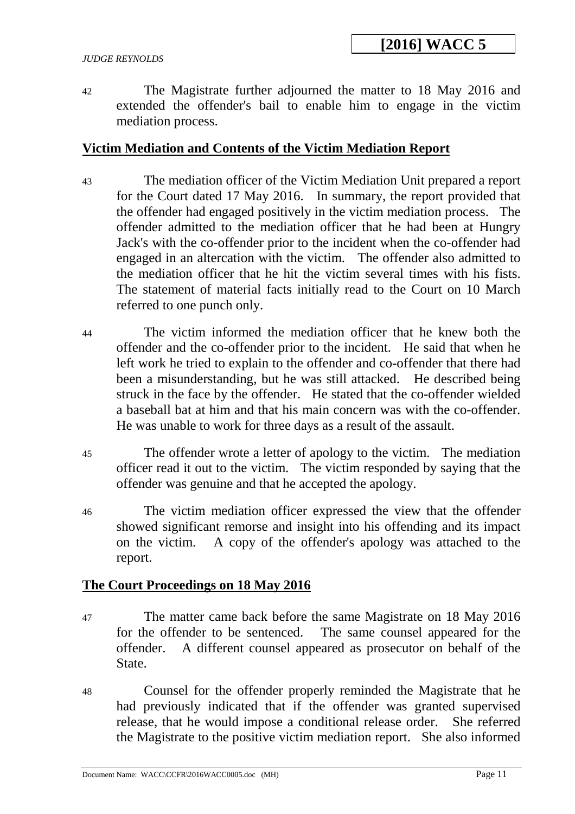#### *JUDGE REYNOLDS*

42 The Magistrate further adjourned the matter to 18 May 2016 and extended the offender's bail to enable him to engage in the victim mediation process.

## **Victim Mediation and Contents of the Victim Mediation Report**

- 43 The mediation officer of the Victim Mediation Unit prepared a report for the Court dated 17 May 2016. In summary, the report provided that the offender had engaged positively in the victim mediation process. The offender admitted to the mediation officer that he had been at Hungry Jack's with the co-offender prior to the incident when the co-offender had engaged in an altercation with the victim. The offender also admitted to the mediation officer that he hit the victim several times with his fists. The statement of material facts initially read to the Court on 10 March referred to one punch only.
- 44 The victim informed the mediation officer that he knew both the offender and the co-offender prior to the incident. He said that when he left work he tried to explain to the offender and co-offender that there had been a misunderstanding, but he was still attacked. He described being struck in the face by the offender. He stated that the co-offender wielded a baseball bat at him and that his main concern was with the co-offender. He was unable to work for three days as a result of the assault.
- 45 The offender wrote a letter of apology to the victim. The mediation officer read it out to the victim. The victim responded by saying that the offender was genuine and that he accepted the apology.
- 46 The victim mediation officer expressed the view that the offender showed significant remorse and insight into his offending and its impact on the victim. A copy of the offender's apology was attached to the report.

### **The Court Proceedings on 18 May 2016**

- 47 The matter came back before the same Magistrate on 18 May 2016 for the offender to be sentenced. The same counsel appeared for the offender. A different counsel appeared as prosecutor on behalf of the State.
- 48 Counsel for the offender properly reminded the Magistrate that he had previously indicated that if the offender was granted supervised release, that he would impose a conditional release order. She referred the Magistrate to the positive victim mediation report. She also informed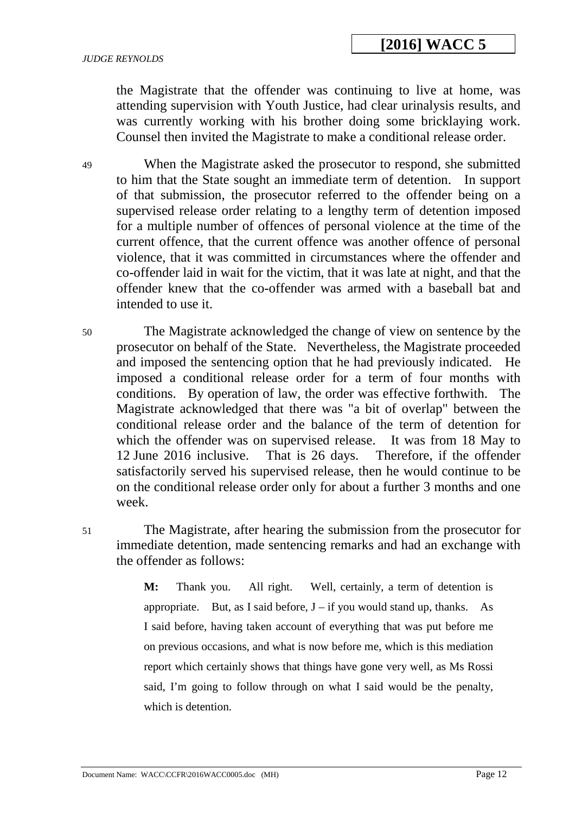the Magistrate that the offender was continuing to live at home, was attending supervision with Youth Justice, had clear urinalysis results, and was currently working with his brother doing some bricklaying work. Counsel then invited the Magistrate to make a conditional release order.

49 When the Magistrate asked the prosecutor to respond, she submitted to him that the State sought an immediate term of detention. In support of that submission, the prosecutor referred to the offender being on a supervised release order relating to a lengthy term of detention imposed for a multiple number of offences of personal violence at the time of the current offence, that the current offence was another offence of personal violence, that it was committed in circumstances where the offender and co-offender laid in wait for the victim, that it was late at night, and that the offender knew that the co-offender was armed with a baseball bat and intended to use it.

50 The Magistrate acknowledged the change of view on sentence by the prosecutor on behalf of the State. Nevertheless, the Magistrate proceeded and imposed the sentencing option that he had previously indicated. He imposed a conditional release order for a term of four months with conditions. By operation of law, the order was effective forthwith. The Magistrate acknowledged that there was "a bit of overlap" between the conditional release order and the balance of the term of detention for which the offender was on supervised release. It was from 18 May to 12 June 2016 inclusive. That is 26 days. Therefore, if the offender satisfactorily served his supervised release, then he would continue to be on the conditional release order only for about a further 3 months and one week.

51 The Magistrate, after hearing the submission from the prosecutor for immediate detention, made sentencing remarks and had an exchange with the offender as follows:

> **M:** Thank you. All right. Well, certainly, a term of detention is appropriate. But, as I said before,  $J - if$  you would stand up, thanks. As I said before, having taken account of everything that was put before me on previous occasions, and what is now before me, which is this mediation report which certainly shows that things have gone very well, as Ms Rossi said, I'm going to follow through on what I said would be the penalty, which is detention.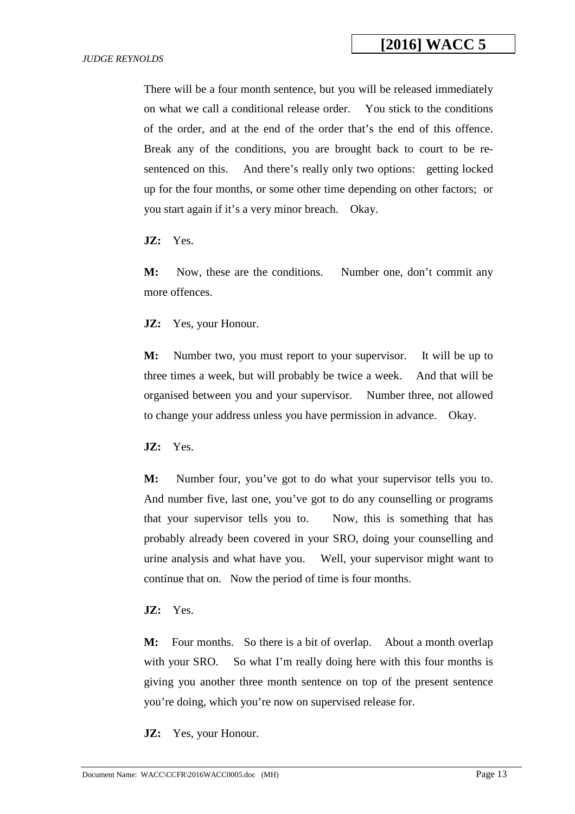There will be a four month sentence, but you will be released immediately on what we call a conditional release order. You stick to the conditions of the order, and at the end of the order that's the end of this offence. Break any of the conditions, you are brought back to court to be resentenced on this. And there's really only two options: getting locked up for the four months, or some other time depending on other factors; or you start again if it's a very minor breach. Okay.

**JZ:** Yes.

M: Now, these are the conditions. Number one, don't commit any more offences.

**JZ:** Yes, your Honour.

**M:** Number two, you must report to your supervisor. It will be up to three times a week, but will probably be twice a week. And that will be organised between you and your supervisor. Number three, not allowed to change your address unless you have permission in advance. Okay.

**JZ:** Yes.

**M:** Number four, you've got to do what your supervisor tells you to. And number five, last one, you've got to do any counselling or programs that your supervisor tells you to. Now, this is something that has probably already been covered in your SRO, doing your counselling and urine analysis and what have you. Well, your supervisor might want to continue that on. Now the period of time is four months.

**JZ:** Yes.

**M:** Four months. So there is a bit of overlap. About a month overlap with your SRO. So what I'm really doing here with this four months is giving you another three month sentence on top of the present sentence you're doing, which you're now on supervised release for.

**JZ:** Yes, your Honour.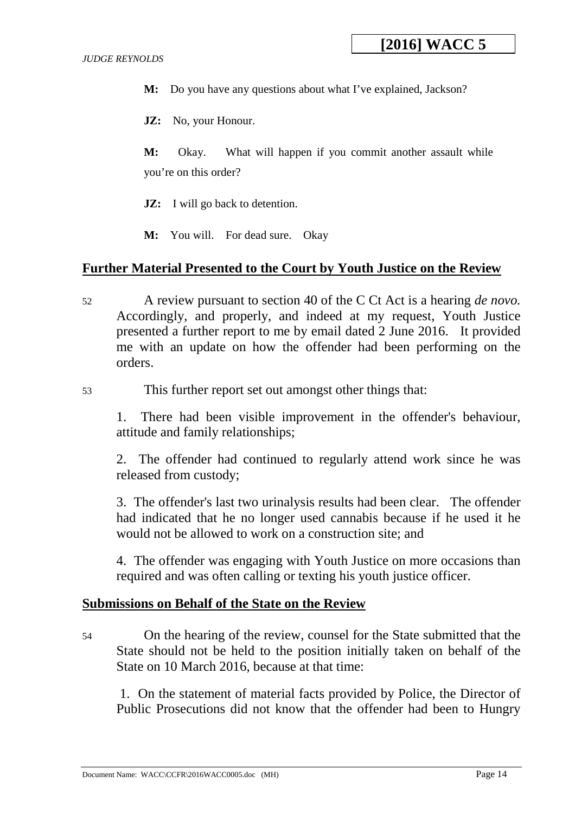**M:** Do you have any questions about what I've explained, Jackson?

**JZ:** No, your Honour.

**M:** Okay. What will happen if you commit another assault while you're on this order?

- **JZ:** I will go back to detention.
- **M:** You will. For dead sure. Okay

#### **Further Material Presented to the Court by Youth Justice on the Review**

- 52 A review pursuant to section 40 of the C Ct Act is a hearing *de novo.*  Accordingly, and properly, and indeed at my request, Youth Justice presented a further report to me by email dated 2 June 2016. It provided me with an update on how the offender had been performing on the orders.
- 53 This further report set out amongst other things that:

1. There had been visible improvement in the offender's behaviour, attitude and family relationships;

2. The offender had continued to regularly attend work since he was released from custody;

3. The offender's last two urinalysis results had been clear. The offender had indicated that he no longer used cannabis because if he used it he would not be allowed to work on a construction site; and

4. The offender was engaging with Youth Justice on more occasions than required and was often calling or texting his youth justice officer.

#### **Submissions on Behalf of the State on the Review**

54 On the hearing of the review, counsel for the State submitted that the State should not be held to the position initially taken on behalf of the State on 10 March 2016, because at that time:

 1. On the statement of material facts provided by Police, the Director of Public Prosecutions did not know that the offender had been to Hungry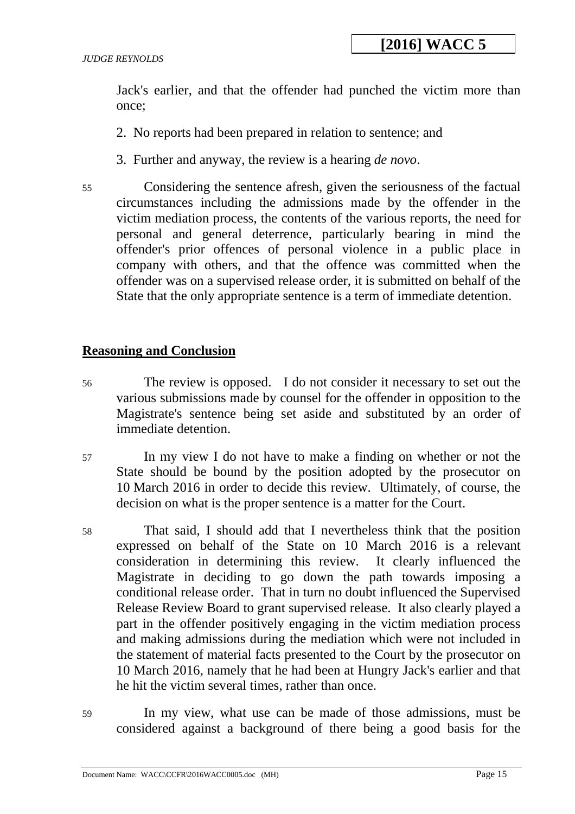Jack's earlier, and that the offender had punched the victim more than once;

- 2. No reports had been prepared in relation to sentence; and
- 3. Further and anyway, the review is a hearing *de novo*.
- 55 Considering the sentence afresh, given the seriousness of the factual circumstances including the admissions made by the offender in the victim mediation process, the contents of the various reports, the need for personal and general deterrence, particularly bearing in mind the offender's prior offences of personal violence in a public place in company with others, and that the offence was committed when the offender was on a supervised release order, it is submitted on behalf of the State that the only appropriate sentence is a term of immediate detention.

#### **Reasoning and Conclusion**

- 56 The review is opposed. I do not consider it necessary to set out the various submissions made by counsel for the offender in opposition to the Magistrate's sentence being set aside and substituted by an order of immediate detention.
- 57 In my view I do not have to make a finding on whether or not the State should be bound by the position adopted by the prosecutor on 10 March 2016 in order to decide this review. Ultimately, of course, the decision on what is the proper sentence is a matter for the Court.
- 58 That said, I should add that I nevertheless think that the position expressed on behalf of the State on 10 March 2016 is a relevant consideration in determining this review. It clearly influenced the Magistrate in deciding to go down the path towards imposing a conditional release order. That in turn no doubt influenced the Supervised Release Review Board to grant supervised release. It also clearly played a part in the offender positively engaging in the victim mediation process and making admissions during the mediation which were not included in the statement of material facts presented to the Court by the prosecutor on 10 March 2016, namely that he had been at Hungry Jack's earlier and that he hit the victim several times, rather than once.
- 59 In my view, what use can be made of those admissions, must be considered against a background of there being a good basis for the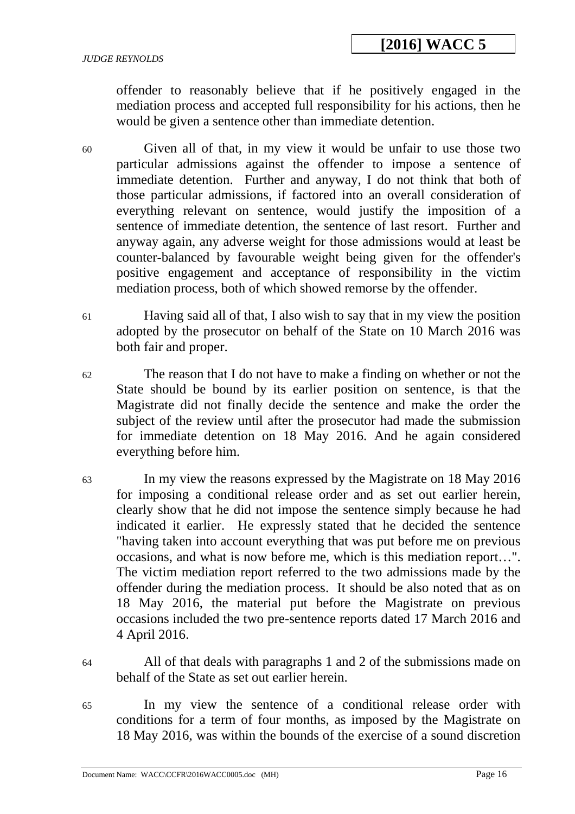offender to reasonably believe that if he positively engaged in the mediation process and accepted full responsibility for his actions, then he would be given a sentence other than immediate detention.

60 Given all of that, in my view it would be unfair to use those two particular admissions against the offender to impose a sentence of immediate detention. Further and anyway, I do not think that both of those particular admissions, if factored into an overall consideration of everything relevant on sentence, would justify the imposition of a sentence of immediate detention, the sentence of last resort. Further and anyway again, any adverse weight for those admissions would at least be counter-balanced by favourable weight being given for the offender's positive engagement and acceptance of responsibility in the victim mediation process, both of which showed remorse by the offender.

- 61 Having said all of that, I also wish to say that in my view the position adopted by the prosecutor on behalf of the State on 10 March 2016 was both fair and proper.
- 62 The reason that I do not have to make a finding on whether or not the State should be bound by its earlier position on sentence, is that the Magistrate did not finally decide the sentence and make the order the subject of the review until after the prosecutor had made the submission for immediate detention on 18 May 2016. And he again considered everything before him.
- 63 In my view the reasons expressed by the Magistrate on 18 May 2016 for imposing a conditional release order and as set out earlier herein, clearly show that he did not impose the sentence simply because he had indicated it earlier. He expressly stated that he decided the sentence "having taken into account everything that was put before me on previous occasions, and what is now before me, which is this mediation report…". The victim mediation report referred to the two admissions made by the offender during the mediation process. It should be also noted that as on 18 May 2016, the material put before the Magistrate on previous occasions included the two pre-sentence reports dated 17 March 2016 and 4 April 2016.
- 

64 All of that deals with paragraphs 1 and 2 of the submissions made on behalf of the State as set out earlier herein.

65 In my view the sentence of a conditional release order with conditions for a term of four months, as imposed by the Magistrate on 18 May 2016, was within the bounds of the exercise of a sound discretion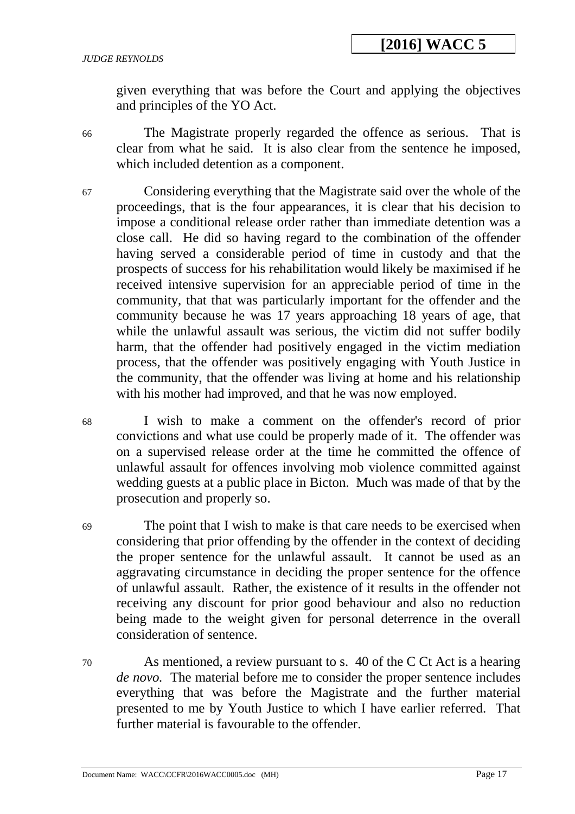given everything that was before the Court and applying the objectives and principles of the YO Act.

66 The Magistrate properly regarded the offence as serious. That is clear from what he said. It is also clear from the sentence he imposed, which included detention as a component.

- 67 Considering everything that the Magistrate said over the whole of the proceedings, that is the four appearances, it is clear that his decision to impose a conditional release order rather than immediate detention was a close call. He did so having regard to the combination of the offender having served a considerable period of time in custody and that the prospects of success for his rehabilitation would likely be maximised if he received intensive supervision for an appreciable period of time in the community, that that was particularly important for the offender and the community because he was 17 years approaching 18 years of age, that while the unlawful assault was serious, the victim did not suffer bodily harm, that the offender had positively engaged in the victim mediation process, that the offender was positively engaging with Youth Justice in the community, that the offender was living at home and his relationship with his mother had improved, and that he was now employed.
- 68 I wish to make a comment on the offender's record of prior convictions and what use could be properly made of it. The offender was on a supervised release order at the time he committed the offence of unlawful assault for offences involving mob violence committed against wedding guests at a public place in Bicton. Much was made of that by the prosecution and properly so.

69 The point that I wish to make is that care needs to be exercised when considering that prior offending by the offender in the context of deciding the proper sentence for the unlawful assault. It cannot be used as an aggravating circumstance in deciding the proper sentence for the offence of unlawful assault. Rather, the existence of it results in the offender not receiving any discount for prior good behaviour and also no reduction being made to the weight given for personal deterrence in the overall consideration of sentence.

70 As mentioned, a review pursuant to s. 40 of the C Ct Act is a hearing *de novo.* The material before me to consider the proper sentence includes everything that was before the Magistrate and the further material presented to me by Youth Justice to which I have earlier referred. That further material is favourable to the offender.